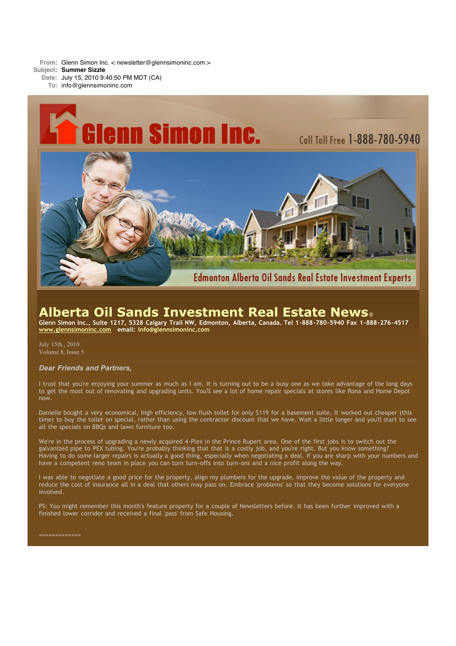**From:** Glenn Simon Inc. < newsletter@glennsimoninc.com >

**Subject: Summer Sizzle**

**Date:** July 15, 2010 9:40:50 PM MDT (CA) **To:** info@glennsimoninc.com



# **Alberta Oil Sands Investment Real Estate News**®

Glenn Simon Inc., Suite 1217, 5328 Calgary Trail NW, Edmonton, Alberta, Canada. Tel 1-888-780-5940 Fax 1-888-276-4517 **[www.glennsimoninc.com](http://www.glennsimoninc.com/) email: [info@glennsimoninc.com](mailto:info@glennsimoninc.com)**

July 15th., 2010 Volume 8, Issue 5

## *Dear Friends and Partners,*

I trust that you're enjoying your summer as much as I am. It is turning out to be a busy one as we take advantage of the long days to get the most out of renovating and upgrading units. You'll see a lot of home repair specials at stores like Rona and Home Depot now.

Danielle bought a very economical, high efficiency, low flush toilet for only \$119 for a basement suite. It worked out cheaper (this time) to buy the toilet on special, rather than using the contractor discount that we have. Wait a little longer and you'll start to see all the specials on BBQs and lawn furniture too.

We're in the process of upgrading a newly acquired 4-Plex in the Prince Rupert area. One of the first jobs is to switch out the galvanized pipe to PEX tubing. You're probably thinking that that is a costly job, and you're right. But you know something? Having to do some larger repairs is actually a good thing, especially when negotiating a deal. If you are sharp with your numbers and have a competent reno team in place you can turn turn-offs into turn-ons and a nice profit along the way.

I was able to negotiate a good price for the property, align my plumbers for the upgrade, improve the value of the property and reduce the cost of insurance all in a deal that others may pass on. Embrace 'problems' so that they become solutions for everyone involved.

PS: You might remember this month's feature property for a couple of Newsletters before. It has been further improved with a finished lower corridor and received a final 'pass' from Safe Housing.

=============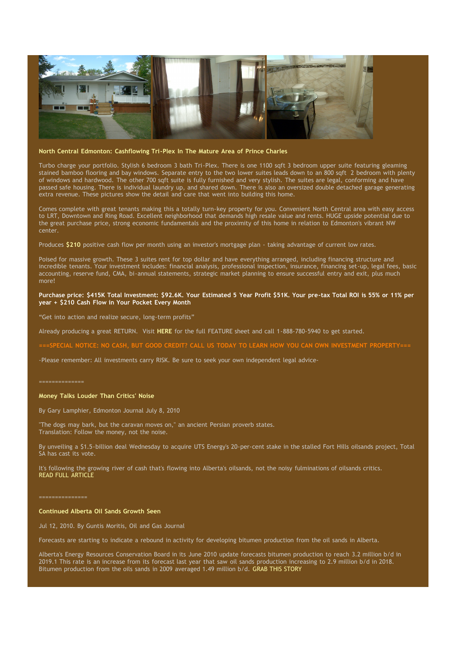

### **North Central Edmonton: Cashflowing Tri-Plex In The Mature Area of Prince Charles**

Turbo charge your portfolio. Stylish 6 bedroom 3 bath Tri-Plex. There is one 1100 sqft 3 bedroom upper suite featuring gleaming stained bamboo flooring and bay windows. Separate entry to the two lower suites leads down to an 800 sqft 2 bedroom with plenty of windows and hardwood. The other 700 sqft suite is fully furnished and very stylish. The suites are legal, conforming and have passed safe housing. There is individual laundry up, and shared down. There is also an oversized double detached garage generating extra revenue. These pictures show the detail and care that went into building this home.

Comes complete with great tenants making this a totally turn-key property for you. Convenient North Central area with easy access to LRT, Downtown and Ring Road. Excellent neighborhood that demands high resale value and rents. HUGE upside potential due to the great purchase price, strong economic fundamentals and the proximity of this home in relation to Edmonton's vibrant NW center.

Produces **[\\$210](http://www.glennsimoninc.com/featured_properties.php)** positive cash flow per month using an investor's mortgage plan - taking advantage of current low rates.

Poised for massive growth. These 3 suites rent for top dollar and have everything arranged, including financing structure and incredible tenants. Your investment includes: financial analysis, professional inspection, insurance, financing set-up, legal fees, basic accounting, reserve fund, CMA, bi-annual statements, strategic market planning to ensure successful entry and exit, plus much more!

## Purchase price: \$415K Total [Investment:](http://www.glennsimoninc.com/featured_properties.php) \$92.6K. Your Estimated 5 Year Profit \$51K. Your pre-tax Total ROI is 55% or 11% per **year + \$210 Cash Flow in Your Pocket Every Month**

"Get into action and realize secure, long-term profits"

Already producing a great RETURN. Visit **[HERE](http://www.glennsimoninc.com/upload/1275336291_tower.road.quikrpt.pdf)** for the full FEATURE sheet and call 1-888-780-5940 to get started.

===SPECIAL NOTICE: NO CASH, BUT GOOD CREDIT? CALL US TODAY TO LEARN HOW YOU CAN OWN INVESTMENT [PROPERTY===](http://www.myreinspace.com/forums/index.php?showtopic=15535)

-Please remember: All investments carry RISK. Be sure to seek your own independent legal advice-

#### ==============

#### **Money Talks Louder Than Critics' Noise**

By Gary Lamphier, Edmonton Journal July 8, 2010

"The dogs may bark, but the caravan moves on," an ancient Persian proverb states. Translation: Follow the money, not the noise.

By unveiling a \$1.5-billion deal Wednesday to acquire UTS Energy's 20-per-cent stake in the stalled Fort Hills oilsands project, Total SA has cast its vote.

It's following the growing river of cash that's flowing into Alberta's oilsands, not the noisy fulminations of oilsands critics. READ FULL [ARTICLE](http://www.edmontonjournal.com/business/Money+talks+louder+than+critics+noise/3250360/story.html#ixzz0tieiwCA3)

#### ===============

## **Continued Alberta Oil Sands Growth Seen**

Jul 12, 2010. By Guntis Moritis, Oil and Gas Journal

Forecasts are starting to indicate a rebound in activity for developing bitumen production from the oil sands in Alberta.

Alberta's Energy Resources Conservation Board in its June 2010 update forecasts bitumen production to reach 3.2 million b/d in 2019.1 This rate is an increase from its forecast last year that saw oil sands production increasing to 2.9 million b/d in 2018. Bitumen production from the oils sands in 2009 averaged 1.49 million b/d. GRAB THIS [STORY](http://www.ogj.com/index/article-display.articles.oil-gas-journal.volume-108.issue-25.technology.continued-alberta.html.html)